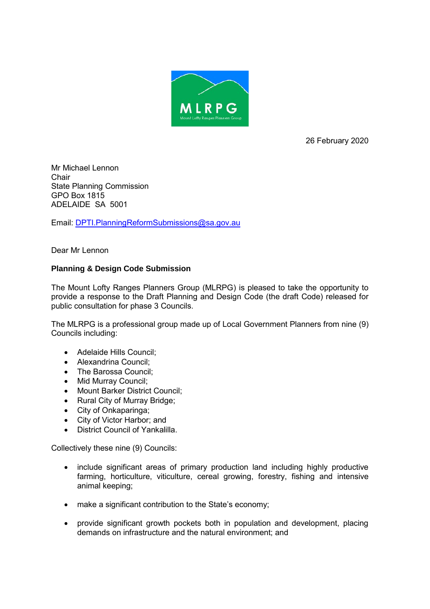

26 February 2020

Mr Michael Lennon Chair State Planning Commission GPO Box 1815 ADELAIDE SA 5001

Email: [DPTI.PlanningReformSubmissions@sa.gov.au](mailto:DPTI.PlanningReformSubmissions@sa.gov.au)

Dear Mr Lennon

# **Planning & Design Code Submission**

The Mount Lofty Ranges Planners Group (MLRPG) is pleased to take the opportunity to provide a response to the Draft Planning and Design Code (the draft Code) released for public consultation for phase 3 Councils.

The MLRPG is a professional group made up of Local Government Planners from nine (9) Councils including:

- Adelaide Hills Council;
- Alexandrina Council:
- The Barossa Council:
- Mid Murray Council;
- Mount Barker District Council;
- Rural City of Murray Bridge;
- City of Onkaparinga;
- City of Victor Harbor; and
- District Council of Yankalilla.

Collectively these nine (9) Councils:

- include significant areas of primary production land including highly productive farming, horticulture, viticulture, cereal growing, forestry, fishing and intensive animal keeping;
- make a significant contribution to the State's economy;
- provide significant growth pockets both in population and development, placing demands on infrastructure and the natural environment; and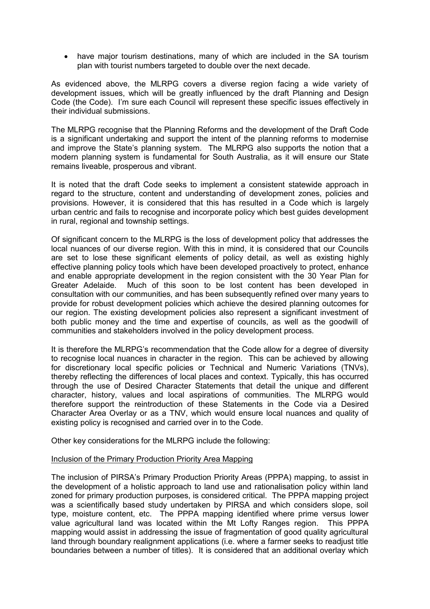• have major tourism destinations, many of which are included in the SA tourism plan with tourist numbers targeted to double over the next decade.

As evidenced above, the MLRPG covers a diverse region facing a wide variety of development issues, which will be greatly influenced by the draft Planning and Design Code (the Code). I'm sure each Council will represent these specific issues effectively in their individual submissions.

The MLRPG recognise that the Planning Reforms and the development of the Draft Code is a significant undertaking and support the intent of the planning reforms to modernise and improve the State's planning system. The MLRPG also supports the notion that a modern planning system is fundamental for South Australia, as it will ensure our State remains liveable, prosperous and vibrant.

It is noted that the draft Code seeks to implement a consistent statewide approach in regard to the structure, content and understanding of development zones, policies and provisions. However, it is considered that this has resulted in a Code which is largely urban centric and fails to recognise and incorporate policy which best guides development in rural, regional and township settings.

Of significant concern to the MLRPG is the loss of development policy that addresses the local nuances of our diverse region. With this in mind, it is considered that our Councils are set to lose these significant elements of policy detail, as well as existing highly effective planning policy tools which have been developed proactively to protect, enhance and enable appropriate development in the region consistent with the 30 Year Plan for Greater Adelaide. Much of this soon to be lost content has been developed in consultation with our communities, and has been subsequently refined over many years to provide for robust development policies which achieve the desired planning outcomes for our region. The existing development policies also represent a significant investment of both public money and the time and expertise of councils, as well as the goodwill of communities and stakeholders involved in the policy development process.

It is therefore the MLRPG's recommendation that the Code allow for a degree of diversity to recognise local nuances in character in the region. This can be achieved by allowing for discretionary local specific policies or Technical and Numeric Variations (TNVs), thereby reflecting the differences of local places and context. Typically, this has occurred through the use of Desired Character Statements that detail the unique and different character, history, values and local aspirations of communities. The MLRPG would therefore support the reintroduction of these Statements in the Code via a Desired Character Area Overlay or as a TNV, which would ensure local nuances and quality of existing policy is recognised and carried over in to the Code.

Other key considerations for the MLRPG include the following:

## Inclusion of the Primary Production Priority Area Mapping

The inclusion of PIRSA's Primary Production Priority Areas (PPPA) mapping, to assist in the development of a holistic approach to land use and rationalisation policy within land zoned for primary production purposes, is considered critical. The PPPA mapping project was a scientifically based study undertaken by PIRSA and which considers slope, soil type, moisture content, etc. The PPPA mapping identified where prime versus lower value agricultural land was located within the Mt Lofty Ranges region. This PPPA mapping would assist in addressing the issue of fragmentation of good quality agricultural land through boundary realignment applications (i.e. where a farmer seeks to readjust title boundaries between a number of titles). It is considered that an additional overlay which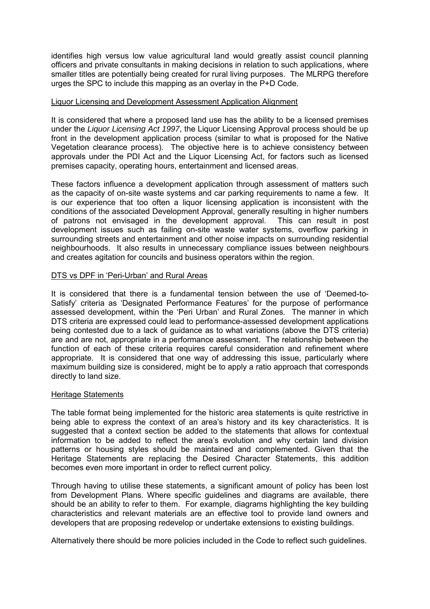identifies high versus low value agricultural land would greatly assist council planning officers and private consultants in making decisions in relation to such applications, where smaller titles are potentially being created for rural living purposes. The MLRPG therefore urges the SPC to include this mapping as an overlay in the P+D Code.

## Liquor Licensing and Development Assessment Application Alignment

It is considered that where a proposed land use has the ability to be a licensed premises under the *Liquor Licensing Act 1997*, the Liquor Licensing Approval process should be up front in the development application process (similar to what is proposed for the Native Vegetation clearance process). The objective here is to achieve consistency between approvals under the PDI Act and the Liquor Licensing Act, for factors such as licensed premises capacity, operating hours, entertainment and licensed areas.

These factors influence a development application through assessment of matters such as the capacity of on-site waste systems and car parking requirements to name a few. It is our experience that too often a liquor licensing application is inconsistent with the conditions of the associated Development Approval, generally resulting in higher numbers of patrons not envisaged in the development approval. This can result in post development issues such as failing on-site waste water systems, overflow parking in surrounding streets and entertainment and other noise impacts on surrounding residential neighbourhoods. It also results in unnecessary compliance issues between neighbours and creates agitation for councils and business operators within the region.

## DTS vs DPF in 'Peri-Urban' and Rural Areas

It is considered that there is a fundamental tension between the use of 'Deemed-to-Satisfy' criteria as 'Designated Performance Features' for the purpose of performance assessed development, within the 'Peri Urban' and Rural Zones. The manner in which DTS criteria are expressed could lead to performance-assessed development applications being contested due to a lack of guidance as to what variations (above the DTS criteria) are and are not, appropriate in a performance assessment. The relationship between the function of each of these criteria requires careful consideration and refinement where appropriate. It is considered that one way of addressing this issue, particularly where maximum building size is considered, might be to apply a ratio approach that corresponds directly to land size.

#### Heritage Statements

The table format being implemented for the historic area statements is quite restrictive in being able to express the context of an area's history and its key characteristics. It is suggested that a context section be added to the statements that allows for contextual information to be added to reflect the area's evolution and why certain land division patterns or housing styles should be maintained and complemented. Given that the Heritage Statements are replacing the Desired Character Statements, this addition becomes even more important in order to reflect current policy.

Through having to utilise these statements, a significant amount of policy has been lost from Development Plans. Where specific guidelines and diagrams are available, there should be an ability to refer to them. For example, diagrams highlighting the key building characteristics and relevant materials are an effective tool to provide land owners and developers that are proposing redevelop or undertake extensions to existing buildings.

Alternatively there should be more policies included in the Code to reflect such guidelines.